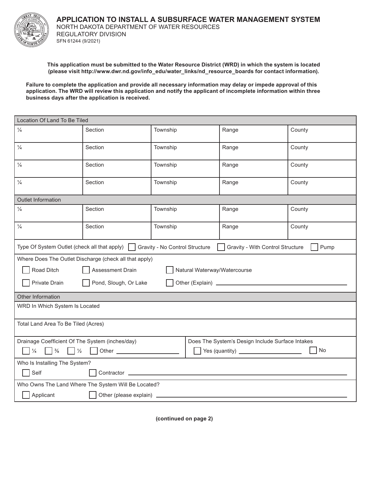

**APPLICATION TO INSTALL A SUBSURFACE WATER MANAGEMENT SYSTEM** NORTH DAKOTA DEPARTMENT OF WATER RESOURCES REGULATORY DIVISION SFN 61244 (9/2021)

**This application must be submitted to the Water Resource District (WRD) in which the system is located (please visit http://www.dwr.nd.gov/info\_edu/water\_links/nd\_resource\_boards for contact information).**

**Failure to complete the application and provide all necessary information may delay or impede approval of this application. The WRD will review this application and notify the applicant of incomplete information within three business days after the application is received.** 

| Location Of Land To Be Tiled                                                                                              |                                                        |          |       |        |  |  |
|---------------------------------------------------------------------------------------------------------------------------|--------------------------------------------------------|----------|-------|--------|--|--|
| $\frac{1}{4}$                                                                                                             | Section                                                | Township | Range | County |  |  |
| $\frac{1}{4}$                                                                                                             | Section                                                | Township | Range | County |  |  |
| $\frac{1}{4}$                                                                                                             | Section                                                | Township | Range | County |  |  |
| $\frac{1}{4}$                                                                                                             | Section                                                | Township | Range | County |  |  |
| <b>Outlet Information</b>                                                                                                 |                                                        |          |       |        |  |  |
| $\frac{1}{4}$                                                                                                             | Section                                                | Township | Range | County |  |  |
| $\frac{1}{4}$                                                                                                             | Section                                                | Township | Range | County |  |  |
| Type Of System Outlet (check all that apply) □ Gravity - No Control Structure<br>Gravity - With Control Structure<br>Pump |                                                        |          |       |        |  |  |
|                                                                                                                           | Where Does The Outlet Discharge (check all that apply) |          |       |        |  |  |
| Road Ditch<br>Assessment Drain<br>Natural Waterway/Watercourse                                                            |                                                        |          |       |        |  |  |
| Private Drain<br>Pond, Slough, Or Lake                                                                                    |                                                        |          |       |        |  |  |
| Other Information                                                                                                         |                                                        |          |       |        |  |  |
| WRD In Which System Is Located                                                                                            |                                                        |          |       |        |  |  |
| Total Land Area To Be Tiled (Acres)                                                                                       |                                                        |          |       |        |  |  |
| Drainage Coefficient Of The System (inches/day)<br>Does The System's Design Include Surface Intakes                       |                                                        |          |       |        |  |  |
|                                                                                                                           | No                                                     |          |       |        |  |  |
| Who Is Installing The System?                                                                                             |                                                        |          |       |        |  |  |
| Self                                                                                                                      |                                                        |          |       |        |  |  |
| Who Owns The Land Where The System Will Be Located?                                                                       |                                                        |          |       |        |  |  |
| Applicant<br>Other (please explain) _                                                                                     |                                                        |          |       |        |  |  |

**(continued on page 2)**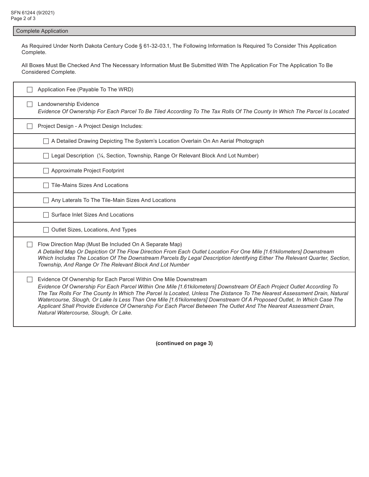Complete Application

As Required Under North Dakota Century Code § 61-32-03.1, The Following Information Is Required To Consider This Application Complete.

All Boxes Must Be Checked And The Necessary Information Must Be Submitted With The Application For The Application To Be Considered Complete.

| Application Fee (Payable To The WRD)                                                                                                                                                                                                                                                                                                                                                                                                                                                                                                                                                                            |
|-----------------------------------------------------------------------------------------------------------------------------------------------------------------------------------------------------------------------------------------------------------------------------------------------------------------------------------------------------------------------------------------------------------------------------------------------------------------------------------------------------------------------------------------------------------------------------------------------------------------|
| Landownership Evidence<br>Evidence Of Ownership For Each Parcel To Be Tiled According To The Tax Rolls Of The County In Which The Parcel Is Located                                                                                                                                                                                                                                                                                                                                                                                                                                                             |
| Project Design - A Project Design Includes:                                                                                                                                                                                                                                                                                                                                                                                                                                                                                                                                                                     |
| A Detailed Drawing Depicting The System's Location Overlain On An Aerial Photograph                                                                                                                                                                                                                                                                                                                                                                                                                                                                                                                             |
| Legal Description (¼, Section, Township, Range Or Relevant Block And Lot Number)                                                                                                                                                                                                                                                                                                                                                                                                                                                                                                                                |
| Approximate Project Footprint                                                                                                                                                                                                                                                                                                                                                                                                                                                                                                                                                                                   |
| <b>Tile-Mains Sizes And Locations</b>                                                                                                                                                                                                                                                                                                                                                                                                                                                                                                                                                                           |
| Any Laterals To The Tile-Main Sizes And Locations                                                                                                                                                                                                                                                                                                                                                                                                                                                                                                                                                               |
| Surface Inlet Sizes And Locations                                                                                                                                                                                                                                                                                                                                                                                                                                                                                                                                                                               |
| Outlet Sizes, Locations, And Types                                                                                                                                                                                                                                                                                                                                                                                                                                                                                                                                                                              |
| Flow Direction Map (Must Be Included On A Separate Map)<br>A Detailed Map Or Depiction Of The Flow Direction From Each Outlet Location For One Mile [1.61kilometers] Downstream<br>Which Includes The Location Of The Downstream Parcels By Legal Description Identifying Either The Relevant Quarter, Section,<br>Township, And Range Or The Relevant Block And Lot Number                                                                                                                                                                                                                                     |
| Evidence Of Ownership for Each Parcel Within One Mile Downstream<br>Evidence Of Ownership For Each Parcel Within One Mile [1.61kilometers] Downstream Of Each Project Outlet According To<br>The Tax Rolls For The County In Which The Parcel Is Located, Unless The Distance To The Nearest Assessment Drain, Natural<br>Watercourse, Slough, Or Lake Is Less Than One Mile [1.61kilometers] Downstream Of A Proposed Outlet, In Which Case The<br>Applicant Shall Provide Evidence Of Ownership For Each Parcel Between The Outlet And The Nearest Assessment Drain,<br>Natural Watercourse, Slough, Or Lake. |

**(continued on page 3)**